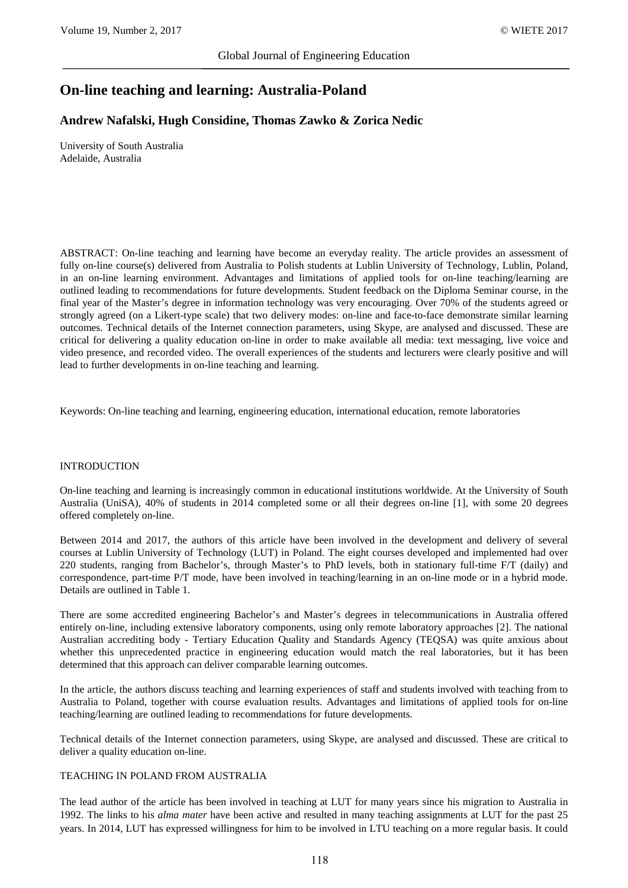# **On-line teaching and learning: Australia-Poland**

# **Andrew Nafalski, Hugh Considine, Thomas Zawko & Zorica Nedic**

University of South Australia Adelaide, Australia

ABSTRACT: On-line teaching and learning have become an everyday reality. The article provides an assessment of fully on-line course(s) delivered from Australia to Polish students at Lublin University of Technology, Lublin, Poland, in an on-line learning environment. Advantages and limitations of applied tools for on-line teaching/learning are outlined leading to recommendations for future developments. Student feedback on the Diploma Seminar course, in the final year of the Master's degree in information technology was very encouraging. Over 70% of the students agreed or strongly agreed (on a Likert-type scale) that two delivery modes: on-line and face-to-face demonstrate similar learning outcomes. Technical details of the Internet connection parameters, using Skype, are analysed and discussed. These are critical for delivering a quality education on-line in order to make available all media: text messaging, live voice and video presence, and recorded video. The overall experiences of the students and lecturers were clearly positive and will lead to further developments in on-line teaching and learning.

Keywords: On-line teaching and learning, engineering education, international education, remote laboratories

#### INTRODUCTION

On-line teaching and learning is increasingly common in educational institutions worldwide. At the University of South Australia (UniSA), 40% of students in 2014 completed some or all their degrees on-line [1], with some 20 degrees offered completely on-line.

Between 2014 and 2017, the authors of this article have been involved in the development and delivery of several courses at Lublin University of Technology (LUT) in Poland. The eight courses developed and implemented had over 220 students, ranging from Bachelor's, through Master's to PhD levels, both in stationary full-time F/T (daily) and correspondence, part-time P/T mode, have been involved in teaching/learning in an on-line mode or in a hybrid mode. Details are outlined in Table 1.

There are some accredited engineering Bachelor's and Master's degrees in telecommunications in Australia offered entirely on-line, including extensive laboratory components, using only remote laboratory approaches [2]. The national Australian accrediting body - Tertiary Education Quality and Standards Agency (TEQSA) was quite anxious about whether this unprecedented practice in engineering education would match the real laboratories, but it has been determined that this approach can deliver comparable learning outcomes.

In the article, the authors discuss teaching and learning experiences of staff and students involved with teaching from to Australia to Poland, together with course evaluation results. Advantages and limitations of applied tools for on-line teaching/learning are outlined leading to recommendations for future developments.

Technical details of the Internet connection parameters, using Skype, are analysed and discussed. These are critical to deliver a quality education on-line.

# TEACHING IN POLAND FROM AUSTRALIA

The lead author of the article has been involved in teaching at LUT for many years since his migration to Australia in 1992. The links to his *alma mater* have been active and resulted in many teaching assignments at LUT for the past 25 years. In 2014, LUT has expressed willingness for him to be involved in LTU teaching on a more regular basis. It could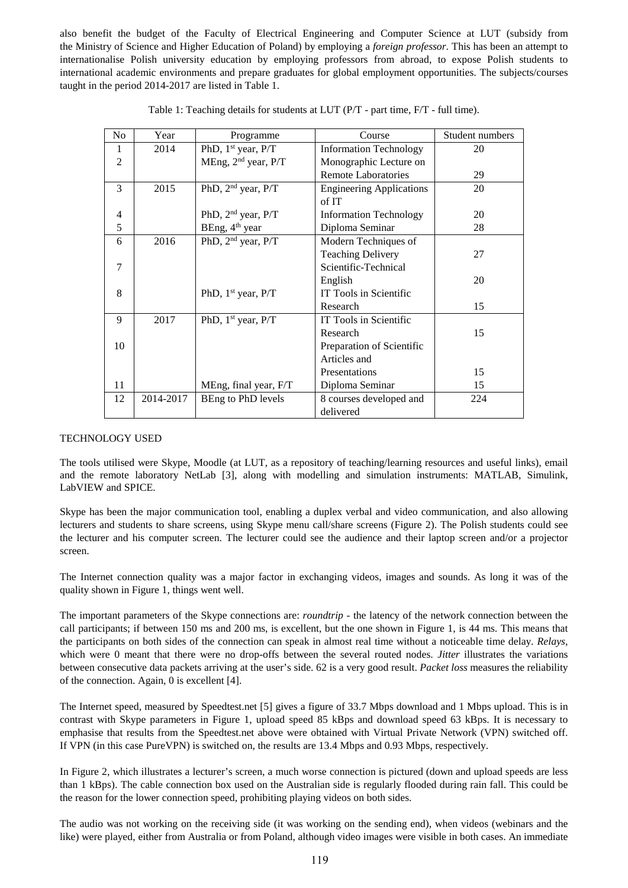also benefit the budget of the Faculty of Electrical Engineering and Computer Science at LUT (subsidy from the Ministry of Science and Higher Education of Poland) by employing a *foreign professor*. This has been an attempt to internationalise Polish university education by employing professors from abroad, to expose Polish students to international academic environments and prepare graduates for global employment opportunities. The subjects/courses taught in the period 2014-2017 are listed in Table 1.

| N <sub>o</sub> | Year      | Programme                       | Course                          | Student numbers |  |
|----------------|-----------|---------------------------------|---------------------------------|-----------------|--|
| 1              | 2014      | PhD, $1st$ year, $P/T$          | <b>Information Technology</b>   | 20              |  |
| $\overline{2}$ |           | MEng, 2 <sup>nd</sup> year, P/T | Monographic Lecture on          |                 |  |
|                |           |                                 | <b>Remote Laboratories</b>      | 29              |  |
| 3              | 2015      | PhD, 2 <sup>nd</sup> year, P/T  | <b>Engineering Applications</b> | 20              |  |
|                |           |                                 | of IT                           |                 |  |
| 4              |           | PhD, $2nd$ year, $P/T$          | <b>Information Technology</b>   | 20              |  |
| 5              |           | BEng, 4 <sup>th</sup> year      | Diploma Seminar                 | 28              |  |
| 6              | 2016      | PhD, 2 <sup>nd</sup> year, P/T  | Modern Techniques of            |                 |  |
|                |           |                                 | <b>Teaching Delivery</b>        | 27              |  |
| $\overline{7}$ |           |                                 | Scientific-Technical            |                 |  |
|                |           |                                 | English                         | 20              |  |
| 8              |           | PhD, $1st$ year, P/T            | IT Tools in Scientific          |                 |  |
|                |           |                                 | Research                        | 15              |  |
| 9              | 2017      | PhD, $1st$ year, $P/T$          | IT Tools in Scientific          |                 |  |
|                |           |                                 | Research                        | 15              |  |
| 10             |           |                                 | Preparation of Scientific       |                 |  |
|                |           |                                 | Articles and                    |                 |  |
|                |           |                                 | Presentations                   | 15              |  |
| 11             |           | MEng, final year, F/T           | Diploma Seminar                 | 15              |  |
| 12             | 2014-2017 | BEng to PhD levels              | 8 courses developed and         | 224             |  |
|                |           |                                 | delivered                       |                 |  |

|  |  |  | Table 1: Teaching details for students at LUT (P/T - part time, F/T - full time). |  |  |
|--|--|--|-----------------------------------------------------------------------------------|--|--|
|  |  |  |                                                                                   |  |  |
|  |  |  |                                                                                   |  |  |

#### TECHNOLOGY USED

The tools utilised were Skype, Moodle (at LUT, as a repository of teaching/learning resources and useful links), email and the remote laboratory NetLab [3], along with modelling and simulation instruments: MATLAB, Simulink, LabVIEW and SPICE.

Skype has been the major communication tool, enabling a duplex verbal and video communication, and also allowing lecturers and students to share screens, using Skype menu call/share screens (Figure 2). The Polish students could see the lecturer and his computer screen. The lecturer could see the audience and their laptop screen and/or a projector screen.

The Internet connection quality was a major factor in exchanging videos, images and sounds. As long it was of the quality shown in Figure 1, things went well.

The important parameters of the Skype connections are: *roundtrip* - the latency of the network connection between the call participants; if between 150 ms and 200 ms, is excellent, but the one shown in Figure 1, is 44 ms. This means that the participants on both sides of the connection can speak in almost real time without a noticeable time delay. *Relays*, which were 0 meant that there were no drop-offs between the several routed nodes. *Jitter* illustrates the variations between consecutive data packets arriving at the user's side. 62 is a very good result. *Packet loss* measures the reliability of the connection. Again, 0 is excellent [4].

The Internet speed, measured by Speedtest.net [5] gives a figure of 33.7 Mbps download and 1 Mbps upload. This is in contrast with Skype parameters in Figure 1, upload speed 85 kBps and download speed 63 kBps. It is necessary to emphasise that results from the Speedtest.net above were obtained with Virtual Private Network (VPN) switched off. If VPN (in this case PureVPN) is switched on, the results are 13.4 Mbps and 0.93 Mbps, respectively.

In Figure 2, which illustrates a lecturer's screen, a much worse connection is pictured (down and upload speeds are less than 1 kBps). The cable connection box used on the Australian side is regularly flooded during rain fall. This could be the reason for the lower connection speed, prohibiting playing videos on both sides.

The audio was not working on the receiving side (it was working on the sending end), when videos (webinars and the like) were played, either from Australia or from Poland, although video images were visible in both cases. An immediate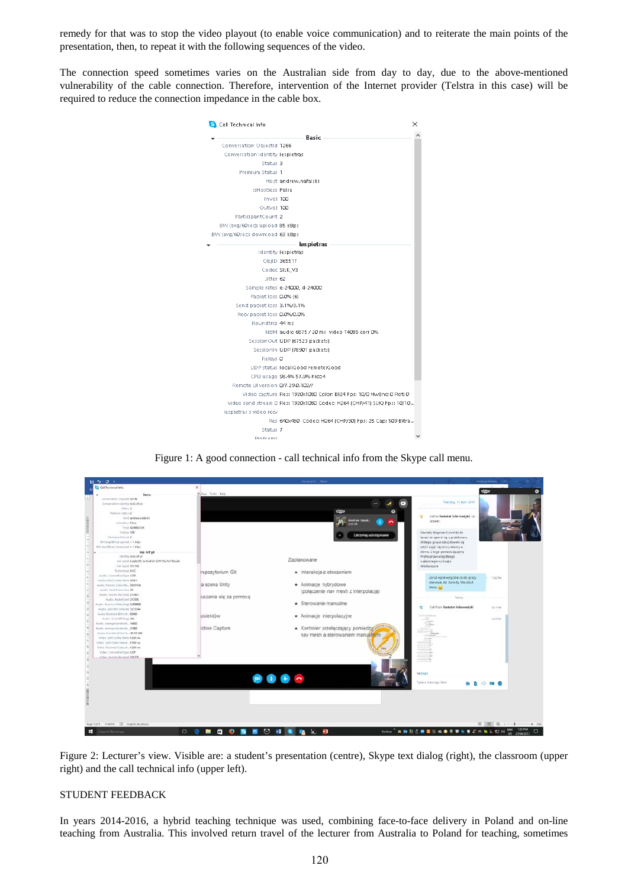remedy for that was to stop the video playout (to enable voice communication) and to reiterate the main points of the presentation, then, to repeat it with the following sequences of the video.

The connection speed sometimes varies on the Australian side from day to day, due to the above-mentioned vulnerability of the cable connection. Therefore, intervention of the Internet provider (Telstra in this case) will be required to reduce the connection impedance in the cable box.



Figure 1: A good connection - call technical info from the Skype call menu.



Figure 2: Lecturer's view. Visible are: a student's presentation (centre), Skype text dialog (right), the classroom (upper right) and the call technical info (upper left).

# STUDENT FEEDBACK

In years 2014-2016, a hybrid teaching technique was used, combining face-to-face delivery in Poland and on-line teaching from Australia. This involved return travel of the lecturer from Australia to Poland for teaching, sometimes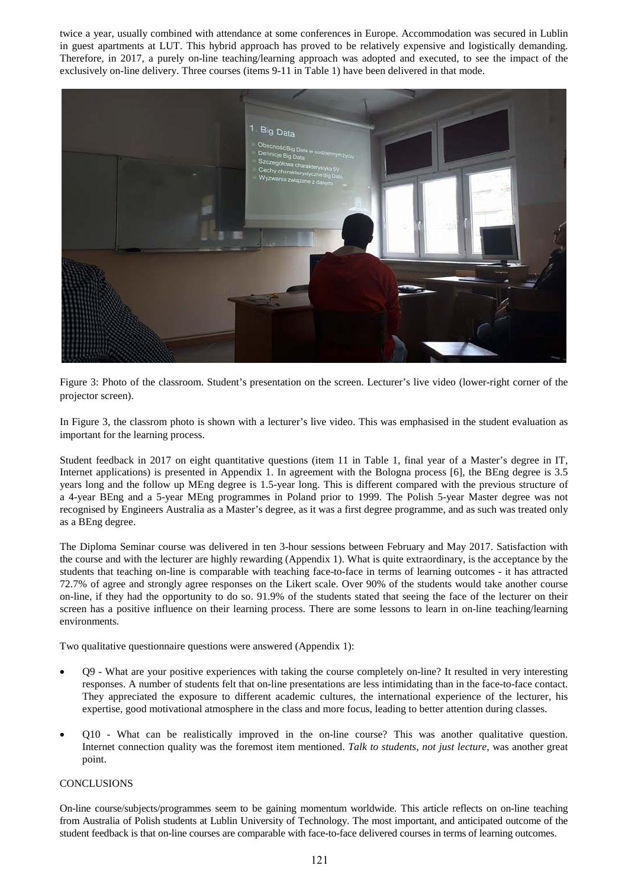twice a year, usually combined with attendance at some conferences in Europe. Accommodation was secured in Lublin in guest apartments at LUT. This hybrid approach has proved to be relatively expensive and logistically demanding. Therefore, in 2017, a purely on-line teaching/learning approach was adopted and executed, to see the impact of the exclusively on-line delivery. Three courses (items 9-11 in Table 1) have been delivered in that mode.



Figure 3: Photo of the classroom. Student's presentation on the screen. Lecturer's live video (lower-right corner of the projector screen).

In Figure 3, the classrom photo is shown with a lecturer's live video. This was emphasised in the student evaluation as important for the learning process.

Student feedback in 2017 on eight quantitative questions (item 11 in Table 1, final year of a Master's degree in IT, Internet applications) is presented in Appendix 1. In agreement with the Bologna process [6], the BEng degree is 3.5 years long and the follow up MEng degree is 1.5-year long. This is different compared with the previous structure of a 4-year BEng and a 5-year MEng programmes in Poland prior to 1999. The Polish 5-year Master degree was not recognised by Engineers Australia as a Master's degree, as it was a first degree programme, and as such was treated only as a BEng degree.

The Diploma Seminar course was delivered in ten 3-hour sessions between February and May 2017. Satisfaction with the course and with the lecturer are highly rewarding (Appendix 1). What is quite extraordinary, is the acceptance by the students that teaching on-line is comparable with teaching face-to-face in terms of learning outcomes - it has attracted 72.7% of agree and strongly agree responses on the Likert scale. Over 90% of the students would take another course on-line, if they had the opportunity to do so. 91.9% of the students stated that seeing the face of the lecturer on their screen has a positive influence on their learning process. There are some lessons to learn in on-line teaching/learning environments.

Two qualitative questionnaire questions were answered (Appendix 1):

- Q9 What are your positive experiences with taking the course completely on-line? It resulted in very interesting responses. A number of students felt that on-line presentations are less intimidating than in the face-to-face contact. They appreciated the exposure to different academic cultures, the international experience of the lecturer, his expertise, good motivational atmosphere in the class and more focus, leading to better attention during classes.
- Q10 What can be realistically improved in the on-line course? This was another qualitative question. Internet connection quality was the foremost item mentioned. *Talk to students, not just lecture*, was another great point.

# CONCLUSIONS

On-line course/subjects/programmes seem to be gaining momentum worldwide. This article reflects on on-line teaching from Australia of Polish students at Lublin University of Technology. The most important, and anticipated outcome of the student feedback is that on-line courses are comparable with face-to-face delivered courses in terms of learning outcomes.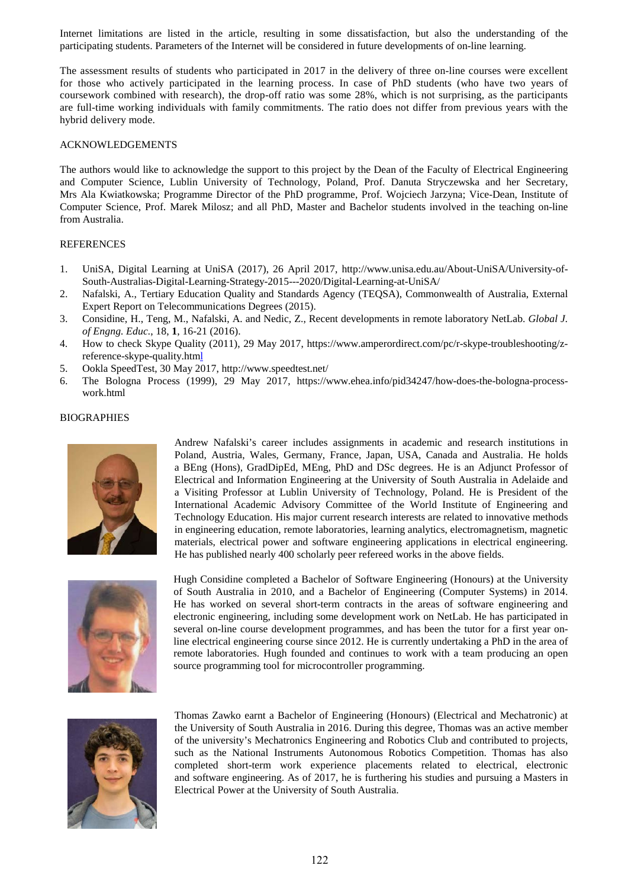Internet limitations are listed in the article, resulting in some dissatisfaction, but also the understanding of the participating students. Parameters of the Internet will be considered in future developments of on-line learning.

The assessment results of students who participated in 2017 in the delivery of three on-line courses were excellent for those who actively participated in the learning process. In case of PhD students (who have two years of coursework combined with research), the drop-off ratio was some 28%, which is not surprising, as the participants are full-time working individuals with family commitments. The ratio does not differ from previous years with the hybrid delivery mode.

### ACKNOWLEDGEMENTS

The authors would like to acknowledge the support to this project by the Dean of the Faculty of Electrical Engineering and Computer Science, Lublin University of Technology, Poland, Prof. Danuta Stryczewska and her Secretary, Mrs Ala Kwiatkowska; Programme Director of the PhD programme, Prof. Wojciech Jarzyna; Vice-Dean, Institute of Computer Science, Prof. Marek Milosz; and all PhD, Master and Bachelor students involved in the teaching on-line from Australia.

# **REFERENCES**

- 1. UniSA, Digital Learning at UniSA (2017), 26 April 2017, http://www.unisa.edu.au/About-UniSA/University-of-South-Australias-Digital-Learning-Strategy-2015---2020/Digital-Learning-at-UniSA/
- 2. Nafalski, A., Tertiary Education Quality and Standards Agency (TEQSA), Commonwealth of Australia, External Expert Report on Telecommunications Degrees (2015).
- 3. Considine, H., Teng, M., Nafalski, A. and Nedic, Z., Recent developments in remote laboratory NetLab. *Global J. of Engng. Educ.*, 18, **1**, 16-21 (2016).
- 4. How to check Skype Quality (2011), 29 May 2017, [https://www.amperordirect.com/pc/r-skype-troubleshooting/z](https://www.amperordirect.com/pc/r-skype-troubleshooting/z-reference-skype-quality.html)[reference-skype-quality.html](https://www.amperordirect.com/pc/r-skype-troubleshooting/z-reference-skype-quality.html)
- 5. Ookla SpeedTest, 30 May 2017,<http://www.speedtest.net/>
- 6. The Bologna Process (1999), 29 May 2017, [https://www.ehea.info/pid34247/how-does-the-bologna-process](https://www.ehea.info/pid34247/how-does-the-bologna-process-work.html)[work.html](https://www.ehea.info/pid34247/how-does-the-bologna-process-work.html)



**BIOGRAPHIES** 

Andrew Nafalski's career includes assignments in academic and research institutions in Poland, Austria, Wales, Germany, France, Japan, USA, Canada and Australia. He holds a BEng (Hons), GradDipEd, MEng, PhD and DSc degrees. He is an Adjunct Professor of Electrical and Information Engineering at the University of South Australia in Adelaide and a Visiting Professor at Lublin University of Technology, Poland. He is President of the International Academic Advisory Committee of the World Institute of Engineering and Technology Education. His major current research interests are related to innovative methods in engineering education, remote laboratories, learning analytics, electromagnetism, magnetic materials, electrical power and software engineering applications in electrical engineering. He has published nearly 400 scholarly peer refereed works in the above fields.



Hugh Considine completed a Bachelor of Software Engineering (Honours) at the University of South Australia in 2010, and a Bachelor of Engineering (Computer Systems) in 2014. He has worked on several short-term contracts in the areas of software engineering and electronic engineering, including some development work on NetLab. He has participated in several on-line course development programmes, and has been the tutor for a first year online electrical engineering course since 2012. He is currently undertaking a PhD in the area of remote laboratories. Hugh founded and continues to work with a team producing an open source programming tool for microcontroller programming.



Thomas Zawko earnt a Bachelor of Engineering (Honours) (Electrical and Mechatronic) at the University of South Australia in 2016. During this degree, Thomas was an active member of the university's Mechatronics Engineering and Robotics Club and contributed to projects, such as the National Instruments Autonomous Robotics Competition. Thomas has also completed short-term work experience placements related to electrical, electronic and software engineering. As of 2017, he is furthering his studies and pursuing a Masters in Electrical Power at the University of South Australia.